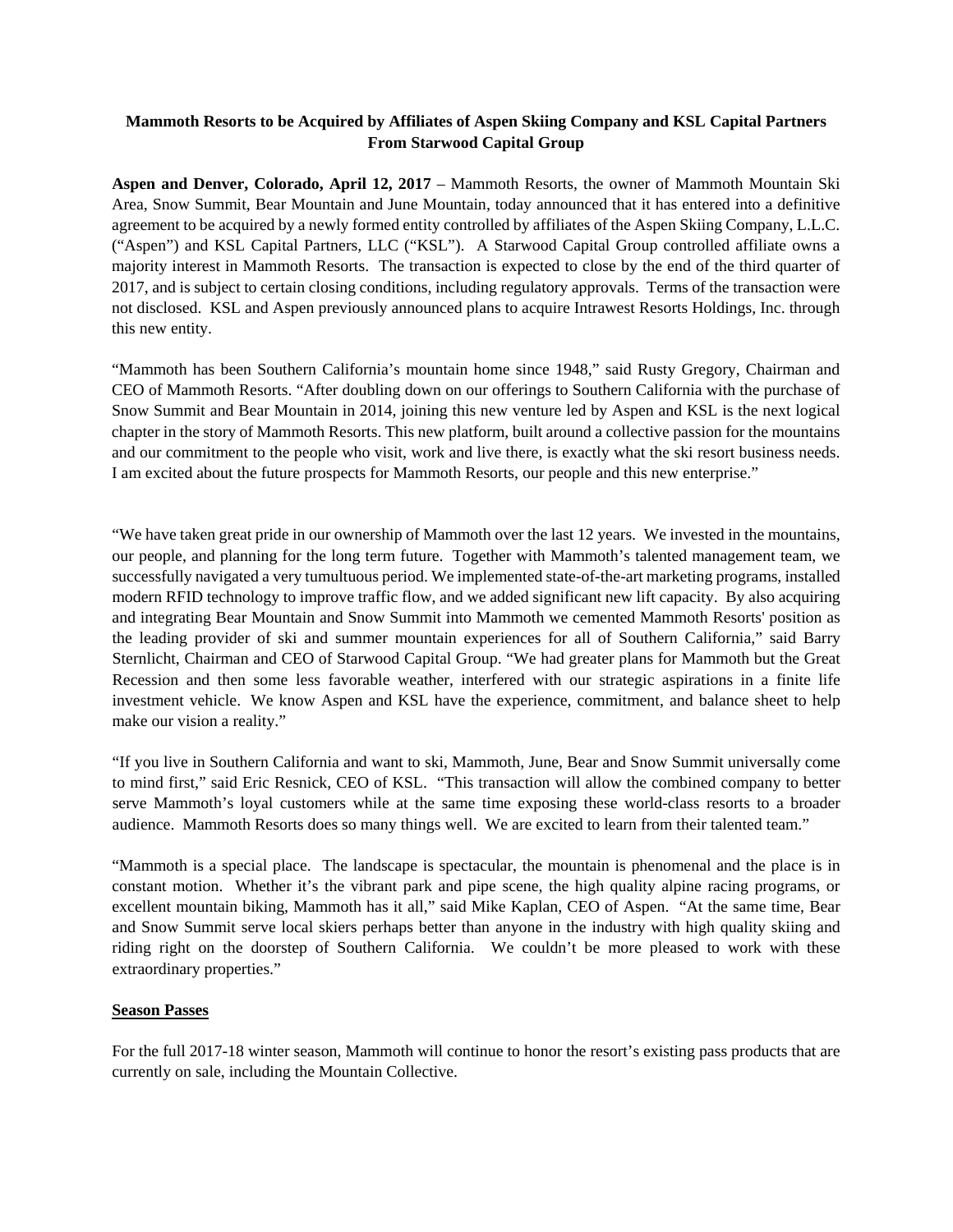# **Mammoth Resorts to be Acquired by Affiliates of Aspen Skiing Company and KSL Capital Partners From Starwood Capital Group**

**Aspen and Denver, Colorado, April 12, 2017** – Mammoth Resorts, the owner of Mammoth Mountain Ski Area, Snow Summit, Bear Mountain and June Mountain, today announced that it has entered into a definitive agreement to be acquired by a newly formed entity controlled by affiliates of the Aspen Skiing Company, L.L.C. ("Aspen") and KSL Capital Partners, LLC ("KSL"). A Starwood Capital Group controlled affiliate owns a majority interest in Mammoth Resorts. The transaction is expected to close by the end of the third quarter of 2017, and is subject to certain closing conditions, including regulatory approvals. Terms of the transaction were not disclosed. KSL and Aspen previously announced plans to acquire Intrawest Resorts Holdings, Inc. through this new entity.

"Mammoth has been Southern California's mountain home since 1948," said Rusty Gregory, Chairman and CEO of Mammoth Resorts. "After doubling down on our offerings to Southern California with the purchase of Snow Summit and Bear Mountain in 2014, joining this new venture led by Aspen and KSL is the next logical chapter in the story of Mammoth Resorts. This new platform, built around a collective passion for the mountains and our commitment to the people who visit, work and live there, is exactly what the ski resort business needs. I am excited about the future prospects for Mammoth Resorts, our people and this new enterprise."

"We have taken great pride in our ownership of Mammoth over the last 12 years. We invested in the mountains, our people, and planning for the long term future. Together with Mammoth's talented management team, we successfully navigated a very tumultuous period. We implemented state-of-the-art marketing programs, installed modern RFID technology to improve traffic flow, and we added significant new lift capacity. By also acquiring and integrating Bear Mountain and Snow Summit into Mammoth we cemented Mammoth Resorts' position as the leading provider of ski and summer mountain experiences for all of Southern California," said Barry Sternlicht, Chairman and CEO of Starwood Capital Group. "We had greater plans for Mammoth but the Great Recession and then some less favorable weather, interfered with our strategic aspirations in a finite life investment vehicle. We know Aspen and KSL have the experience, commitment, and balance sheet to help make our vision a reality."

"If you live in Southern California and want to ski, Mammoth, June, Bear and Snow Summit universally come to mind first," said Eric Resnick, CEO of KSL. "This transaction will allow the combined company to better serve Mammoth's loyal customers while at the same time exposing these world-class resorts to a broader audience. Mammoth Resorts does so many things well. We are excited to learn from their talented team."

"Mammoth is a special place. The landscape is spectacular, the mountain is phenomenal and the place is in constant motion. Whether it's the vibrant park and pipe scene, the high quality alpine racing programs, or excellent mountain biking, Mammoth has it all," said Mike Kaplan, CEO of Aspen. "At the same time, Bear and Snow Summit serve local skiers perhaps better than anyone in the industry with high quality skiing and riding right on the doorstep of Southern California. We couldn't be more pleased to work with these extraordinary properties."

## **Season Passes**

For the full 2017-18 winter season, Mammoth will continue to honor the resort's existing pass products that are currently on sale, including the Mountain Collective.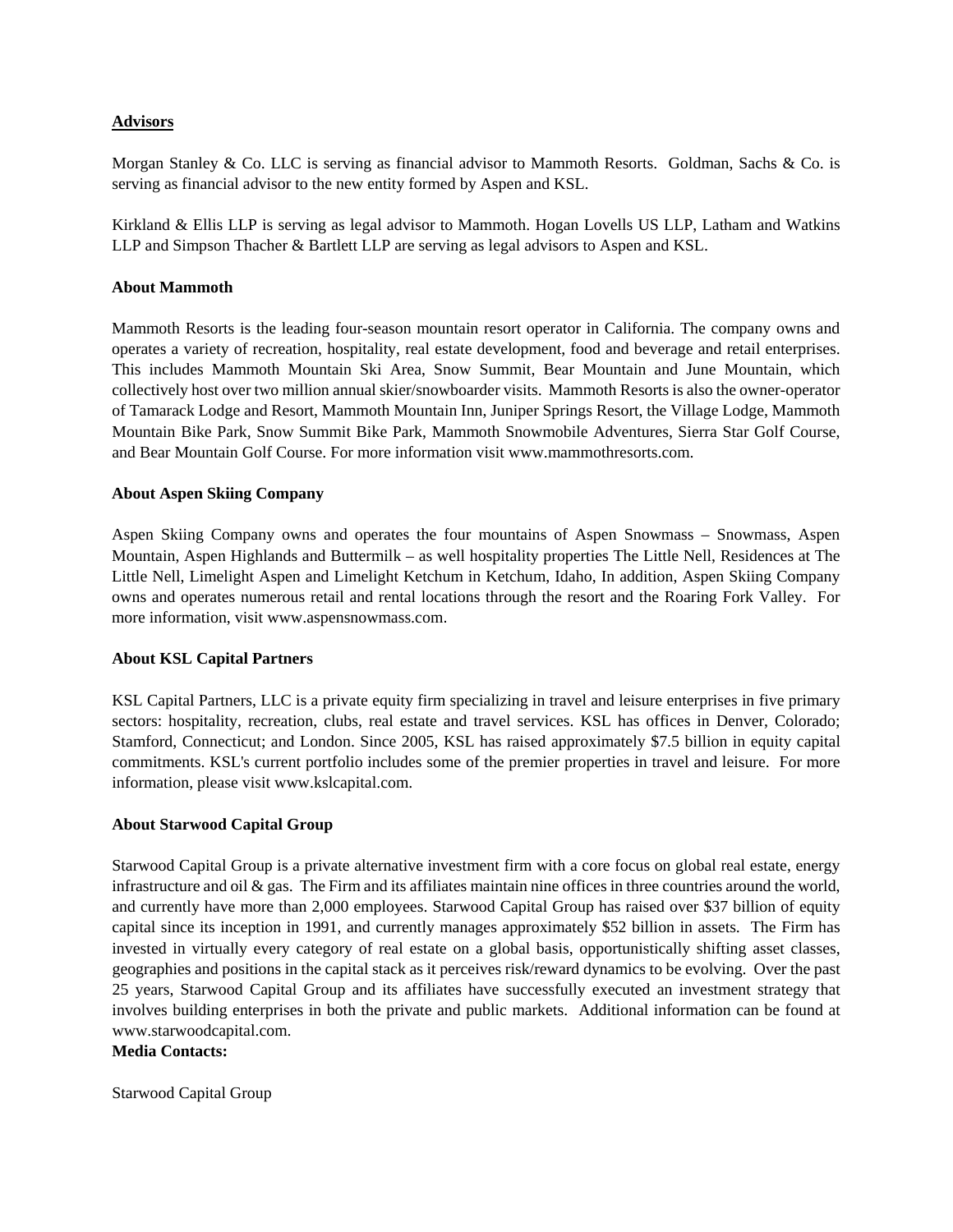#### **Advisors**

Morgan Stanley & Co. LLC is serving as financial advisor to Mammoth Resorts. Goldman, Sachs & Co. is serving as financial advisor to the new entity formed by Aspen and KSL.

Kirkland & Ellis LLP is serving as legal advisor to Mammoth. Hogan Lovells US LLP, Latham and Watkins LLP and Simpson Thacher & Bartlett LLP are serving as legal advisors to Aspen and KSL.

#### **About Mammoth**

Mammoth Resorts is the leading four-season mountain resort operator in California. The company owns and operates a variety of recreation, hospitality, real estate development, food and beverage and retail enterprises. This includes Mammoth Mountain Ski Area, Snow Summit, Bear Mountain and June Mountain, which collectively host over two million annual skier/snowboarder visits. Mammoth Resorts is also the owner-operator of Tamarack Lodge and Resort, Mammoth Mountain Inn, Juniper Springs Resort, the Village Lodge, Mammoth Mountain Bike Park, Snow Summit Bike Park, Mammoth Snowmobile Adventures, Sierra Star Golf Course, and Bear Mountain Golf Course. For more information visit [www.mammothresorts.com.](http://www.mammothresorts.com/)

## **About Aspen Skiing Company**

Aspen Skiing Company owns and operates the four mountains of Aspen Snowmass – Snowmass, Aspen Mountain, Aspen Highlands and Buttermilk – as well hospitality properties The Little Nell, Residences at The Little Nell, Limelight Aspen and Limelight Ketchum in Ketchum, Idaho, In addition, Aspen Skiing Company owns and operates numerous retail and rental locations through the resort and the Roaring Fork Valley. For more information, visit [www.aspensnowmass.com](http://www.aspensnowmass.com/).

#### **About KSL Capital Partners**

KSL Capital Partners, LLC is a private equity firm specializing in travel and leisure enterprises in five primary sectors: hospitality, recreation, clubs, real estate and travel services. KSL has offices in Denver, Colorado; Stamford, Connecticut; and London. Since 2005, KSL has raised approximately \$7.5 billion in equity capital commitments. KSL's current portfolio includes some of the premier properties in travel and leisure. For more information, please visit www.kslcapital.com.

#### **About Starwood Capital Group**

Starwood Capital Group is a private alternative investment firm with a core focus on global real estate, energy infrastructure and oil & gas. The Firm and its affiliates maintain nine offices in three countries around the world, and currently have more than 2,000 employees. Starwood Capital Group has raised over \$37 billion of equity capital since its inception in 1991, and currently manages approximately \$52 billion in assets. The Firm has invested in virtually every category of real estate on a global basis, opportunistically shifting asset classes, geographies and positions in the capital stack as it perceives risk/reward dynamics to be evolving. Over the past 25 years, Starwood Capital Group and its affiliates have successfully executed an investment strategy that involves building enterprises in both the private and public markets. Additional information can be found at www.starwoodcapital.com.

## **Media Contacts:**

Starwood Capital Group